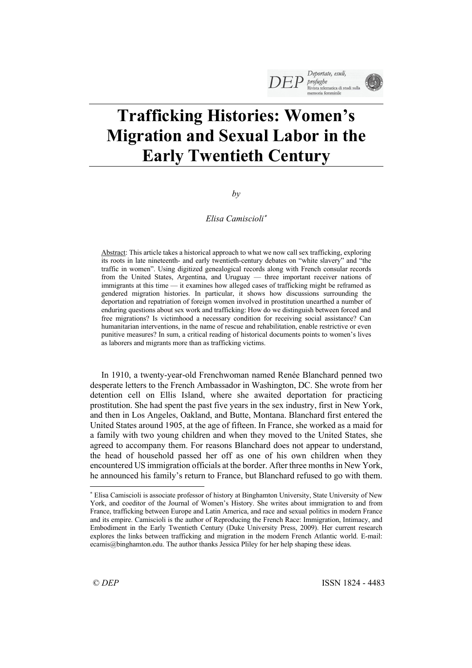# **Trafficking Histories: Women's Migration and Sexual Labor in the Early Twentieth Century**

*by*

# *Elisa Camiscioli*\*

Abstract: This article takes a historical approach to what we now call sex trafficking, exploring its roots in late nineteenth- and early twentieth-century debates on "white slavery" and "the traffic in women". Using digitized genealogical records along with French consular records from the United States, Argentina, and Uruguay — three important receiver nations of immigrants at this time — it examines how alleged cases of trafficking might be reframed as gendered migration histories. In particular, it shows how discussions surrounding the deportation and repatriation of foreign women involved in prostitution unearthed a number of enduring questions about sex work and trafficking: How do we distinguish between forced and free migrations? Is victimhood a necessary condition for receiving social assistance? Can humanitarian interventions, in the name of rescue and rehabilitation, enable restrictive or even punitive measures? In sum, a critical reading of historical documents points to women's lives as laborers and migrants more than as trafficking victims.

In 1910, a twenty-year-old Frenchwoman named Renée Blanchard penned two desperate letters to the French Ambassador in Washington, DC. She wrote from her detention cell on Ellis Island, where she awaited deportation for practicing prostitution. She had spent the past five years in the sex industry, first in New York, and then in Los Angeles, Oakland, and Butte, Montana. Blanchard first entered the United States around 1905, at the age of fifteen. In France, she worked as a maid for a family with two young children and when they moved to the United States, she agreed to accompany them. For reasons Blanchard does not appear to understand, the head of household passed her off as one of his own children when they encountered US immigration officials at the border. After three months in New York, he announced his family's return to France, but Blanchard refused to go with them.

<sup>\*</sup> Elisa Camiscioli is associate professor of history at Binghamton University, State University of New York, and coeditor of the Journal of Women's History. She writes about immigration to and from France, trafficking between Europe and Latin America, and race and sexual politics in modern France and its empire. Camiscioli is the author of Reproducing the French Race: Immigration, Intimacy, and Embodiment in the Early Twentieth Century (Duke University Press, 2009). Her current research explores the links between trafficking and migration in the modern French Atlantic world. E-mail: ecamis@binghamton.edu. The author thanks Jessica Pliley for her help shaping these ideas.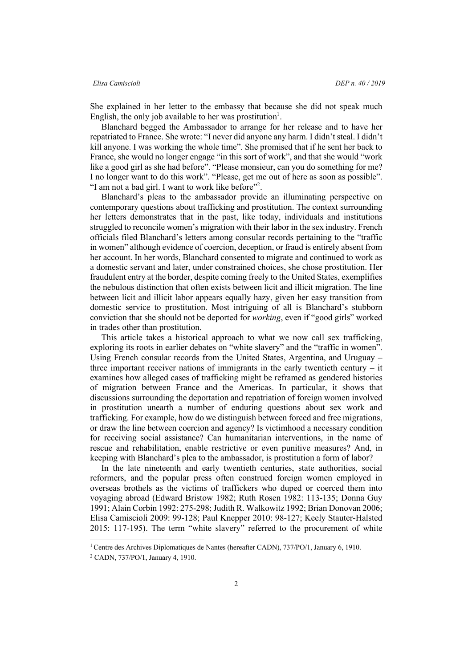She explained in her letter to the embassy that because she did not speak much English, the only job available to her was prostitution<sup>1</sup>.

Blanchard begged the Ambassador to arrange for her release and to have her repatriated to France. She wrote: "I never did anyone any harm. I didn't steal. I didn't kill anyone. I was working the whole time". She promised that if he sent her back to France, she would no longer engage "in this sort of work", and that she would "work like a good girl as she had before". "Please monsieur, can you do something for me? I no longer want to do this work". "Please, get me out of here as soon as possible". "I am not a bad girl. I want to work like before"<sup>2</sup>.

Blanchard's pleas to the ambassador provide an illuminating perspective on contemporary questions about trafficking and prostitution. The context surrounding her letters demonstrates that in the past, like today, individuals and institutions struggled to reconcile women's migration with their labor in the sex industry. French officials filed Blanchard's letters among consular records pertaining to the "traffic in women" although evidence of coercion, deception, or fraud is entirely absent from her account. In her words, Blanchard consented to migrate and continued to work as a domestic servant and later, under constrained choices, she chose prostitution. Her fraudulent entry at the border, despite coming freely to the United States, exemplifies the nebulous distinction that often exists between licit and illicit migration. The line between licit and illicit labor appears equally hazy, given her easy transition from domestic service to prostitution. Most intriguing of all is Blanchard's stubborn conviction that she should not be deported for *working*, even if "good girls" worked in trades other than prostitution.

This article takes a historical approach to what we now call sex trafficking, exploring its roots in earlier debates on "white slavery" and the "traffic in women". Using French consular records from the United States, Argentina, and Uruguay – three important receiver nations of immigrants in the early twentieth century  $-$  it examines how alleged cases of trafficking might be reframed as gendered histories of migration between France and the Americas. In particular, it shows that discussions surrounding the deportation and repatriation of foreign women involved in prostitution unearth a number of enduring questions about sex work and trafficking. For example, how do we distinguish between forced and free migrations, or draw the line between coercion and agency? Is victimhood a necessary condition for receiving social assistance? Can humanitarian interventions, in the name of rescue and rehabilitation, enable restrictive or even punitive measures? And, in keeping with Blanchard's plea to the ambassador, is prostitution a form of labor?

In the late nineteenth and early twentieth centuries, state authorities, social reformers, and the popular press often construed foreign women employed in overseas brothels as the victims of traffickers who duped or coerced them into voyaging abroad (Edward Bristow 1982; Ruth Rosen 1982: 113-135; Donna Guy 1991; Alain Corbin 1992: 275-298; Judith R. Walkowitz 1992; Brian Donovan 2006; Elisa Camiscioli 2009: 99-128; Paul Knepper 2010: 98-127; Keely Stauter-Halsted 2015: 117-195). The term "white slavery" referred to the procurement of white

<sup>&</sup>lt;sup>1</sup> Centre des Archives Diplomatiques de Nantes (hereafter CADN), 737/PO/1, January 6, 1910.

<sup>2</sup> CADN, 737/PO/1, January 4, 1910.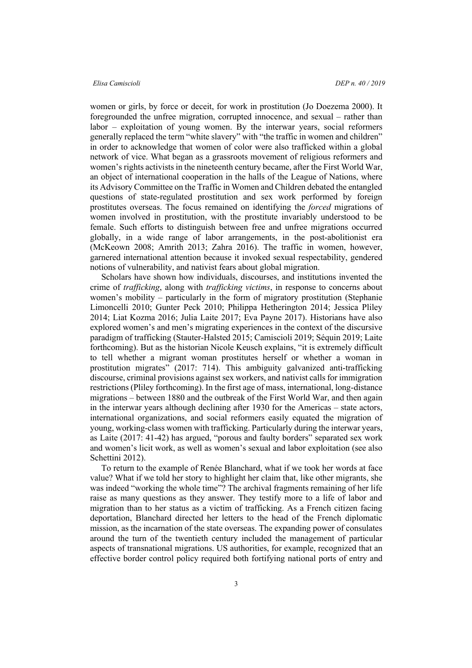women or girls, by force or deceit, for work in prostitution (Jo Doezema 2000). It foregrounded the unfree migration, corrupted innocence, and sexual – rather than labor – exploitation of young women. By the interwar years, social reformers generally replaced the term "white slavery" with "the traffic in women and children" in order to acknowledge that women of color were also trafficked within a global network of vice. What began as a grassroots movement of religious reformers and women's rights activists in the nineteenth century became, after the First World War, an object of international cooperation in the halls of the League of Nations, where its Advisory Committee on the Traffic in Women and Children debated the entangled questions of state-regulated prostitution and sex work performed by foreign prostitutes overseas. The focus remained on identifying the *forced* migrations of women involved in prostitution, with the prostitute invariably understood to be female. Such efforts to distinguish between free and unfree migrations occurred globally, in a wide range of labor arrangements, in the post-abolitionist era (McKeown 2008; Amrith 2013; Zahra 2016). The traffic in women, however, garnered international attention because it invoked sexual respectability, gendered notions of vulnerability, and nativist fears about global migration.

Scholars have shown how individuals, discourses, and institutions invented the crime of *trafficking*, along with *trafficking victims*, in response to concerns about women's mobility – particularly in the form of migratory prostitution (Stephanie Limoncelli 2010; Gunter Peck 2010; Philippa Hetherington 2014; Jessica Pliley 2014; Liat Kozma 2016; Julia Laite 2017; Eva Payne 2017). Historians have also explored women's and men's migrating experiences in the context of the discursive paradigm of trafficking (Stauter-Halsted 2015; Camiscioli 2019; Séquin 2019; Laite forthcoming). But as the historian Nicole Keusch explains, "it is extremely difficult to tell whether a migrant woman prostitutes herself or whether a woman in prostitution migrates" (2017: 714). This ambiguity galvanized anti-trafficking discourse, criminal provisions against sex workers, and nativist calls for immigration restrictions (Pliley forthcoming). In the first age of mass, international, long-distance migrations – between 1880 and the outbreak of the First World War, and then again in the interwar years although declining after 1930 for the Americas – state actors, international organizations, and social reformers easily equated the migration of young, working-class women with trafficking. Particularly during the interwar years, as Laite (2017: 41-42) has argued, "porous and faulty borders" separated sex work and women's licit work, as well as women's sexual and labor exploitation (see also Schettini 2012).

To return to the example of Renée Blanchard, what if we took her words at face value? What if we told her story to highlight her claim that, like other migrants, she was indeed "working the whole time"? The archival fragments remaining of her life raise as many questions as they answer. They testify more to a life of labor and migration than to her status as a victim of trafficking. As a French citizen facing deportation, Blanchard directed her letters to the head of the French diplomatic mission, as the incarnation of the state overseas. The expanding power of consulates around the turn of the twentieth century included the management of particular aspects of transnational migrations. US authorities, for example, recognized that an effective border control policy required both fortifying national ports of entry and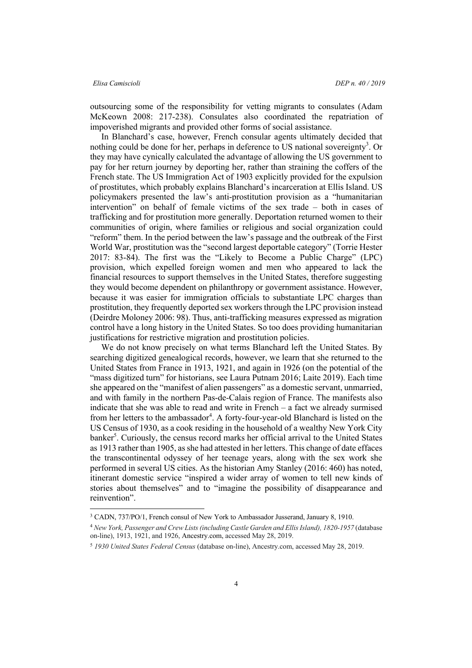outsourcing some of the responsibility for vetting migrants to consulates (Adam McKeown 2008: 217-238). Consulates also coordinated the repatriation of impoverished migrants and provided other forms of social assistance.

In Blanchard's case, however, French consular agents ultimately decided that nothing could be done for her, perhaps in deference to US national sovereignty<sup>3</sup>. Or they may have cynically calculated the advantage of allowing the US government to pay for her return journey by deporting her, rather than straining the coffers of the French state. The US Immigration Act of 1903 explicitly provided for the expulsion of prostitutes, which probably explains Blanchard's incarceration at Ellis Island. US policymakers presented the law's anti-prostitution provision as a "humanitarian intervention" on behalf of female victims of the sex trade – both in cases of trafficking and for prostitution more generally. Deportation returned women to their communities of origin, where families or religious and social organization could "reform" them. In the period between the law's passage and the outbreak of the First World War, prostitution was the "second largest deportable category" (Torrie Hester 2017: 83-84). The first was the "Likely to Become a Public Charge" (LPC) provision, which expelled foreign women and men who appeared to lack the financial resources to support themselves in the United States, therefore suggesting they would become dependent on philanthropy or government assistance. However, because it was easier for immigration officials to substantiate LPC charges than prostitution, they frequently deported sex workers through the LPC provision instead (Deirdre Moloney 2006: 98). Thus, anti-trafficking measures expressed as migration control have a long history in the United States. So too does providing humanitarian justifications for restrictive migration and prostitution policies.

We do not know precisely on what terms Blanchard left the United States. By searching digitized genealogical records, however, we learn that she returned to the United States from France in 1913, 1921, and again in 1926 (on the potential of the "mass digitized turn" for historians, see Laura Putnam 2016; Laite 2019). Each time she appeared on the "manifest of alien passengers" as a domestic servant, unmarried, and with family in the northern Pas-de-Calais region of France. The manifests also indicate that she was able to read and write in French – a fact we already surmised from her letters to the ambassador<sup>4</sup>. A forty-four-year-old Blanchard is listed on the US Census of 1930, as a cook residing in the household of a wealthy New York City banker<sup>5</sup>. Curiously, the census record marks her official arrival to the United States as 1913 rather than 1905, as she had attested in her letters. This change of date effaces the transcontinental odyssey of her teenage years, along with the sex work she performed in several US cities. As the historian Amy Stanley (2016: 460) has noted, itinerant domestic service "inspired a wider array of women to tell new kinds of stories about themselves" and to "imagine the possibility of disappearance and reinvention".

 <sup>3</sup> CADN, 737/PO/1, French consul of New York to Ambassador Jusserand, January 8, 1910.

<sup>4</sup> *New York, Passenger and Crew Lists (including Castle Garden and Ellis Island), 1820-1957* (database on-line), 1913, 1921, and 1926, Ancestry.com, accessed May 28, 2019.

<sup>5</sup> *1930 United States Federal Census* (database on-line), Ancestry.com, accessed May 28, 2019.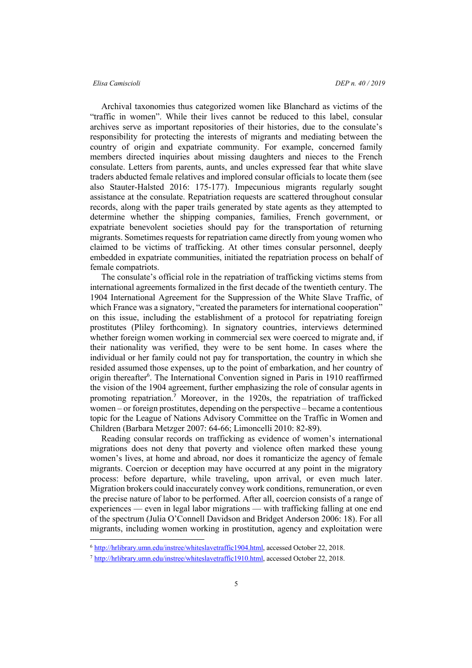## *Elisa Camiscioli DEP n. 40 / 2019*

Archival taxonomies thus categorized women like Blanchard as victims of the "traffic in women". While their lives cannot be reduced to this label, consular archives serve as important repositories of their histories, due to the consulate's responsibility for protecting the interests of migrants and mediating between the country of origin and expatriate community. For example, concerned family members directed inquiries about missing daughters and nieces to the French consulate. Letters from parents, aunts, and uncles expressed fear that white slave traders abducted female relatives and implored consular officials to locate them (see also Stauter-Halsted 2016: 175-177). Impecunious migrants regularly sought assistance at the consulate. Repatriation requests are scattered throughout consular records, along with the paper trails generated by state agents as they attempted to determine whether the shipping companies, families, French government, or expatriate benevolent societies should pay for the transportation of returning migrants. Sometimes requests for repatriation came directly from young women who claimed to be victims of trafficking. At other times consular personnel, deeply embedded in expatriate communities, initiated the repatriation process on behalf of female compatriots.

The consulate's official role in the repatriation of trafficking victims stems from international agreements formalized in the first decade of the twentieth century. The 1904 International Agreement for the Suppression of the White Slave Traffic, of which France was a signatory, "created the parameters for international cooperation" on this issue, including the establishment of a protocol for repatriating foreign prostitutes (Pliley forthcoming). In signatory countries, interviews determined whether foreign women working in commercial sex were coerced to migrate and, if their nationality was verified, they were to be sent home. In cases where the individual or her family could not pay for transportation, the country in which she resided assumed those expenses, up to the point of embarkation, and her country of origin thereafter<sup>6</sup>. The International Convention signed in Paris in 1910 reaffirmed the vision of the 1904 agreement, further emphasizing the role of consular agents in promoting repatriation.<sup>7</sup> Moreover, in the 1920s, the repatriation of trafficked women – or foreign prostitutes, depending on the perspective – became a contentious topic for the League of Nations Advisory Committee on the Traffic in Women and Children (Barbara Metzger 2007: 64-66; Limoncelli 2010: 82-89).

Reading consular records on trafficking as evidence of women's international migrations does not deny that poverty and violence often marked these young women's lives, at home and abroad, nor does it romanticize the agency of female migrants. Coercion or deception may have occurred at any point in the migratory process: before departure, while traveling, upon arrival, or even much later. Migration brokers could inaccurately convey work conditions, remuneration, or even the precise nature of labor to be performed. After all, coercion consists of a range of experiences — even in legal labor migrations — with trafficking falling at one end of the spectrum (Julia O'Connell Davidson and Bridget Anderson 2006: 18). For all migrants, including women working in prostitution, agency and exploitation were

 <sup>6</sup> http://hrlibrary.umn.edu/instree/whiteslavetraffic1904.html, accessed October 22, 2018.

<sup>7</sup> http://hrlibrary.umn.edu/instree/whiteslavetraffic1910.html, accessed October 22, 2018.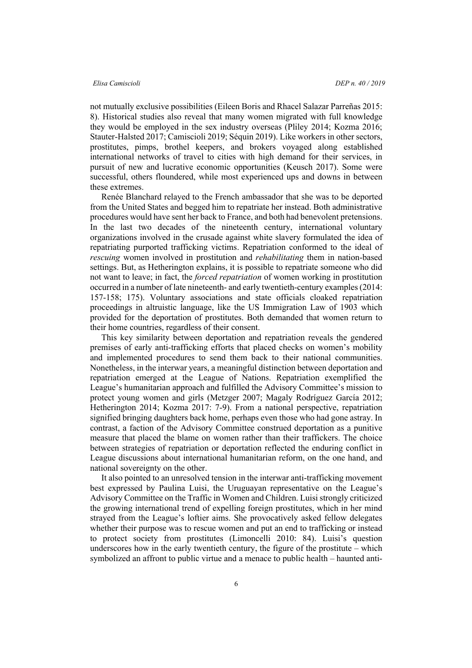not mutually exclusive possibilities (Eileen Boris and Rhacel Salazar Parreñas 2015: 8). Historical studies also reveal that many women migrated with full knowledge they would be employed in the sex industry overseas (Pliley 2014; Kozma 2016; Stauter-Halsted 2017; Camiscioli 2019; Séquin 2019). Like workers in other sectors, prostitutes, pimps, brothel keepers, and brokers voyaged along established international networks of travel to cities with high demand for their services, in pursuit of new and lucrative economic opportunities (Keusch 2017). Some were successful, others floundered, while most experienced ups and downs in between these extremes.

Renée Blanchard relayed to the French ambassador that she was to be deported from the United States and begged him to repatriate her instead. Both administrative procedures would have sent her back to France, and both had benevolent pretensions. In the last two decades of the nineteenth century, international voluntary organizations involved in the crusade against white slavery formulated the idea of repatriating purported trafficking victims. Repatriation conformed to the ideal of *rescuing* women involved in prostitution and *rehabilitating* them in nation-based settings. But, as Hetherington explains, it is possible to repatriate someone who did not want to leave; in fact, the *forced repatriation* of women working in prostitution occurred in a number of late nineteenth- and early twentieth-century examples (2014: 157-158; 175). Voluntary associations and state officials cloaked repatriation proceedings in altruistic language, like the US Immigration Law of 1903 which provided for the deportation of prostitutes. Both demanded that women return to their home countries, regardless of their consent.

This key similarity between deportation and repatriation reveals the gendered premises of early anti-trafficking efforts that placed checks on women's mobility and implemented procedures to send them back to their national communities. Nonetheless, in the interwar years, a meaningful distinction between deportation and repatriation emerged at the League of Nations. Repatriation exemplified the League's humanitarian approach and fulfilled the Advisory Committee's mission to protect young women and girls (Metzger 2007; Magaly Rodríguez García 2012; Hetherington 2014; Kozma 2017: 7-9). From a national perspective, repatriation signified bringing daughters back home, perhaps even those who had gone astray. In contrast, a faction of the Advisory Committee construed deportation as a punitive measure that placed the blame on women rather than their traffickers. The choice between strategies of repatriation or deportation reflected the enduring conflict in League discussions about international humanitarian reform, on the one hand, and national sovereignty on the other.

It also pointed to an unresolved tension in the interwar anti-trafficking movement best expressed by Paulina Luisi, the Uruguayan representative on the League's Advisory Committee on the Traffic in Women and Children. Luisi strongly criticized the growing international trend of expelling foreign prostitutes, which in her mind strayed from the League's loftier aims. She provocatively asked fellow delegates whether their purpose was to rescue women and put an end to trafficking or instead to protect society from prostitutes (Limoncelli 2010: 84). Luisi's question underscores how in the early twentieth century, the figure of the prostitute – which symbolized an affront to public virtue and a menace to public health – haunted anti-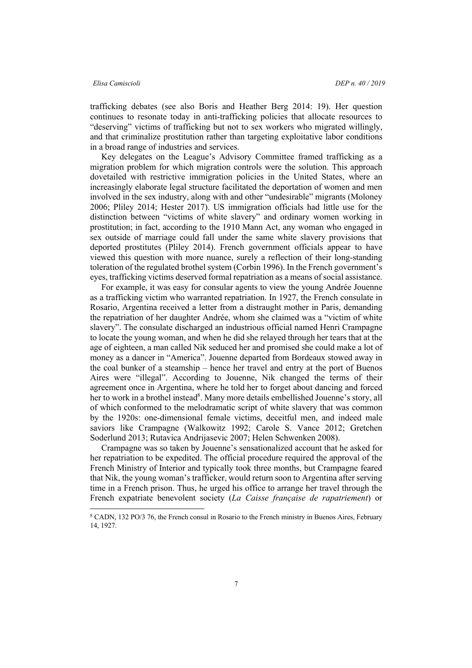trafficking debates (see also Boris and Heather Berg 2014: 19). Her question continues to resonate today in anti-trafficking policies that allocate resources to "deserving" victims of trafficking but not to sex workers who migrated willingly, and that criminalize prostitution rather than targeting exploitative labor conditions in a broad range of industries and services.

Key delegates on the League's Advisory Committee framed trafficking as a migration problem for which migration controls were the solution. This approach dovetailed with restrictive immigration policies in the United States, where an increasingly elaborate legal structure facilitated the deportation of women and men involved in the sex industry, along with and other "undesirable" migrants (Moloney 2006; Pliley 2014; Hester 2017). US immigration officials had little use for the distinction between "victims of white slavery" and ordinary women working in prostitution; in fact, according to the 1910 Mann Act, any woman who engaged in sex outside of marriage could fall under the same white slavery provisions that deported prostitutes (Pliley 2014). French government officials appear to have viewed this question with more nuance, surely a reflection of their long-standing toleration of the regulated brothel system (Corbin 1996). In the French government's eyes, trafficking victims deserved formal repatriation as a means of social assistance.

For example, it was easy for consular agents to view the young Andrée Jouenne as a trafficking victim who warranted repatriation. In 1927, the French consulate in Rosario, Argentina received a letter from a distraught mother in Paris, demanding the repatriation of her daughter Andrée, whom she claimed was a "victim of white slavery". The consulate discharged an industrious official named Henri Crampagne to locate the young woman, and when he did she relayed through her tears that at the age of eighteen, a man called Nik seduced her and promised she could make a lot of money as a dancer in "America". Jouenne departed from Bordeaux stowed away in the coal bunker of a steamship – hence her travel and entry at the port of Buenos Aires were "illegal". According to Jouenne, Nik changed the terms of their agreement once in Argentina, where he told her to forget about dancing and forced her to work in a brothel instead<sup>8</sup>. Many more details embellished Jouenne's story, all of which conformed to the melodramatic script of white slavery that was common by the 1920s: one-dimensional female victims, deceitful men, and indeed male saviors like Crampagne (Walkowitz 1992; Carole S. Vance 2012; Gretchen Soderlund 2013; Rutavica Andrijasevic 2007; Helen Schwenken 2008).

Crampagne was so taken by Jouenne's sensationalized account that he asked for her repatriation to be expedited. The official procedure required the approval of the French Ministry of Interior and typically took three months, but Crampagne feared that Nik, the young woman's trafficker, would return soon to Argentina after serving time in a French prison. Thus, he urged his office to arrange her travel through the French expatriate benevolent society (*La Caisse française de rapatriement*) or

 <sup>8</sup> CADN, 132 PO/3 76, the French consul in Rosario to the French ministry in Buenos Aires, February 14, 1927.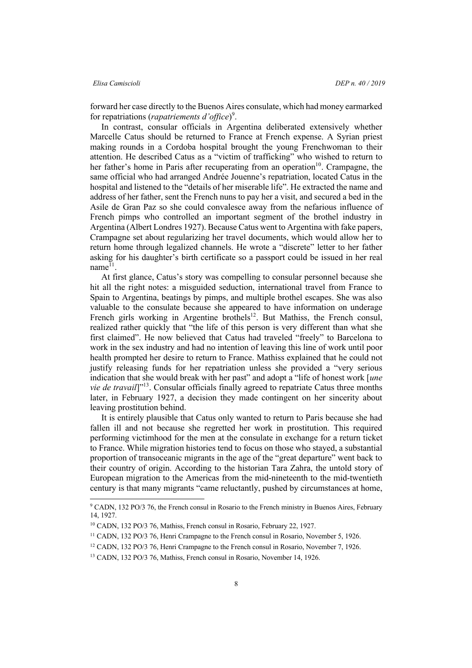forward her case directly to the Buenos Aires consulate, which had money earmarked for repatriations (*rapatriements d'office*)<sup>9</sup>.

In contrast, consular officials in Argentina deliberated extensively whether Marcelle Catus should be returned to France at French expense. A Syrian priest making rounds in a Cordoba hospital brought the young Frenchwoman to their attention. He described Catus as a "victim of trafficking" who wished to return to her father's home in Paris after recuperating from an operation<sup>10</sup>. Crampagne, the same official who had arranged Andrée Jouenne's repatriation, located Catus in the hospital and listened to the "details of her miserable life". He extracted the name and address of her father, sent the French nuns to pay her a visit, and secured a bed in the Asile de Gran Paz so she could convalesce away from the nefarious influence of French pimps who controlled an important segment of the brothel industry in Argentina (Albert Londres 1927). Because Catus went to Argentina with fake papers, Crampagne set about regularizing her travel documents, which would allow her to return home through legalized channels. He wrote a "discrete" letter to her father asking for his daughter's birth certificate so a passport could be issued in her real name $^{11}$ .

At first glance, Catus's story was compelling to consular personnel because she hit all the right notes: a misguided seduction, international travel from France to Spain to Argentina, beatings by pimps, and multiple brothel escapes. She was also valuable to the consulate because she appeared to have information on underage French girls working in Argentine brothels<sup>12</sup>. But Mathiss, the French consul, realized rather quickly that "the life of this person is very different than what she first claimed". He now believed that Catus had traveled "freely" to Barcelona to work in the sex industry and had no intention of leaving this line of work until poor health prompted her desire to return to France. Mathiss explained that he could not justify releasing funds for her repatriation unless she provided a "very serious indication that she would break with her past" and adopt a "life of honest work [*une vie de travail*<sup>"13</sup>. Consular officials finally agreed to repatriate Catus three months later, in February 1927, a decision they made contingent on her sincerity about leaving prostitution behind.

It is entirely plausible that Catus only wanted to return to Paris because she had fallen ill and not because she regretted her work in prostitution. This required performing victimhood for the men at the consulate in exchange for a return ticket to France. While migration histories tend to focus on those who stayed, a substantial proportion of transoceanic migrants in the age of the "great departure" went back to their country of origin. According to the historian Tara Zahra, the untold story of European migration to the Americas from the mid-nineteenth to the mid-twentieth century is that many migrants "came reluctantly, pushed by circumstances at home,

<sup>&</sup>lt;sup>9</sup> CADN, 132 PO/3 76, the French consul in Rosario to the French ministry in Buenos Aires, February 14, 1927.

<sup>10</sup> CADN, 132 PO/3 76, Mathiss, French consul in Rosario, February 22, 1927.

<sup>11</sup> CADN, 132 PO/3 76, Henri Crampagne to the French consul in Rosario, November 5, 1926.

<sup>&</sup>lt;sup>12</sup> CADN, 132 PO/3 76, Henri Crampagne to the French consul in Rosario, November 7, 1926.

<sup>13</sup> CADN, 132 PO/3 76, Mathiss, French consul in Rosario, November 14, 1926.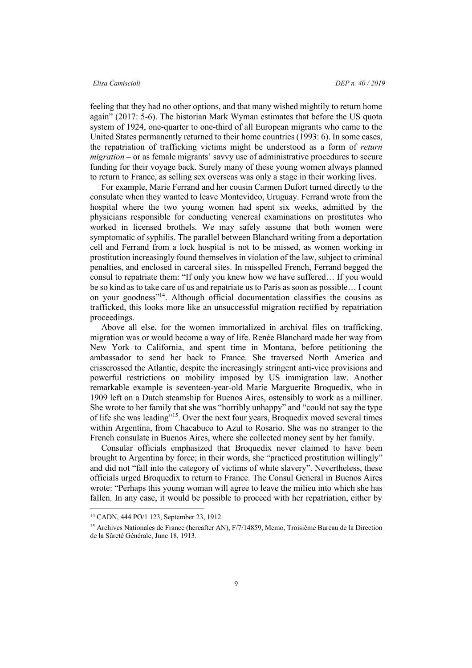feeling that they had no other options, and that many wished mightily to return home again" (2017: 5-6). The historian Mark Wyman estimates that before the US quota system of 1924, one-quarter to one-third of all European migrants who came to the United States permanently returned to their home countries (1993: 6). In some cases, the repatriation of trafficking victims might be understood as a form of *return migration* – or as female migrants' savvy use of administrative procedures to secure funding for their voyage back. Surely many of these young women always planned to return to France, as selling sex overseas was only a stage in their working lives.

For example, Marie Ferrand and her cousin Carmen Dufort turned directly to the consulate when they wanted to leave Montevideo, Uruguay. Ferrand wrote from the hospital where the two young women had spent six weeks, admitted by the physicians responsible for conducting venereal examinations on prostitutes who worked in licensed brothels. We may safely assume that both women were symptomatic of syphilis. The parallel between Blanchard writing from a deportation cell and Ferrand from a lock hospital is not to be missed, as women working in prostitution increasingly found themselves in violation of the law, subject to criminal penalties, and enclosed in carceral sites. In misspelled French, Ferrand begged the consul to repatriate them: "If only you knew how we have suffered… If you would be so kind as to take care of us and repatriate us to Paris as soon as possible… I count on your goodness"14. Although official documentation classifies the cousins as trafficked, this looks more like an unsuccessful migration rectified by repatriation proceedings.

Above all else, for the women immortalized in archival files on trafficking, migration was or would become a way of life. Renée Blanchard made her way from New York to California, and spent time in Montana, before petitioning the ambassador to send her back to France. She traversed North America and crisscrossed the Atlantic, despite the increasingly stringent anti-vice provisions and powerful restrictions on mobility imposed by US immigration law. Another remarkable example is seventeen-year-old Marie Marguerite Broquedix, who in 1909 left on a Dutch steamship for Buenos Aires, ostensibly to work as a milliner. She wrote to her family that she was "horribly unhappy" and "could not say the type of life she was leading"15. Over the next four years, Broquedix moved several times within Argentina, from Chacabuco to Azul to Rosario. She was no stranger to the French consulate in Buenos Aires, where she collected money sent by her family.

Consular officials emphasized that Broquedix never claimed to have been brought to Argentina by force; in their words, she "practiced prostitution willingly" and did not "fall into the category of victims of white slavery". Nevertheless, these officials urged Broquedix to return to France. The Consul General in Buenos Aires wrote: "Perhaps this young woman will agree to leave the milieu into which she has fallen. In any case, it would be possible to proceed with her repatriation, either by

 <sup>14</sup> CADN, 444 PO/1 123, September 23, 1912.

<sup>15</sup> Archives Nationales de France (hereafter AN), F/7/14859, Memo, Troisième Bureau de la Direction de la Sûreté Générale, June 18, 1913.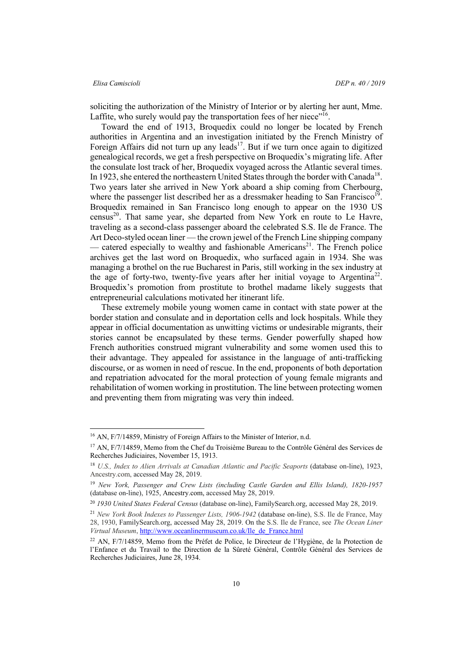### *Elisa Camiscioli DEP n. 40 / 2019*

soliciting the authorization of the Ministry of Interior or by alerting her aunt, Mme. Laffite, who surely would pay the transportation fees of her niece"<sup>16</sup>.

Toward the end of 1913, Broquedix could no longer be located by French authorities in Argentina and an investigation initiated by the French Ministry of Foreign Affairs did not turn up any leads<sup>17</sup>. But if we turn once again to digitized genealogical records, we get a fresh perspective on Broquedix's migrating life. After the consulate lost track of her, Broquedix voyaged across the Atlantic several times. In 1923, she entered the northeastern United States through the border with Canada<sup>18</sup>. Two years later she arrived in New York aboard a ship coming from Cherbourg, where the passenger list described her as a dressmaker heading to San Francisco<sup>19</sup>. Broquedix remained in San Francisco long enough to appear on the 1930 US census<sup>20</sup>. That same year, she departed from New York en route to Le Havre, traveling as a second-class passenger aboard the celebrated S.S. Ile de France. The Art Deco-styled ocean liner — the crown jewel of the French Line shipping company – catered especially to wealthy and fashionable Americans<sup>21</sup>. The French police archives get the last word on Broquedix, who surfaced again in 1934. She was managing a brothel on the rue Bucharest in Paris, still working in the sex industry at the age of forty-two, twenty-five years after her initial voyage to Argentina<sup>22</sup>. Broquedix's promotion from prostitute to brothel madame likely suggests that entrepreneurial calculations motivated her itinerant life.

These extremely mobile young women came in contact with state power at the border station and consulate and in deportation cells and lock hospitals. While they appear in official documentation as unwitting victims or undesirable migrants, their stories cannot be encapsulated by these terms. Gender powerfully shaped how French authorities construed migrant vulnerability and some women used this to their advantage. They appealed for assistance in the language of anti-trafficking discourse, or as women in need of rescue. In the end, proponents of both deportation and repatriation advocated for the moral protection of young female migrants and rehabilitation of women working in prostitution. The line between protecting women and preventing them from migrating was very thin indeed.

 <sup>16</sup> AN, F/7/14859, Ministry of Foreign Affairs to the Minister of Interior, n.d.

<sup>&</sup>lt;sup>17</sup> AN, F/7/14859, Memo from the Chef du Troisième Bureau to the Contrôle Général des Services de Recherches Judiciaires, November 15, 1913.

<sup>&</sup>lt;sup>18</sup> U.S., Index to Alien Arrivals at Canadian Atlantic and Pacific Seaports (database on-line), 1923, Ancestry.com, accessed May 28, 2019.

<sup>19</sup> *New York, Passenger and Crew Lists (including Castle Garden and Ellis Island), 1820-1957* (database on-line), 1925, Ancestry.com, accessed May 28, 2019.

<sup>20</sup> *1930 United States Federal Census* (database on-line), FamilySearch.org, accessed May 28, 2019.

<sup>21</sup> *New York Book Indexes to Passenger Lists, 1906-1942* (database on-line), S.S. Ile de France, May 28, 1930, FamilySearch.org, accessed May 28, 2019. On the S.S. Ile de France, see *The Ocean Liner Virtual Museum*, http://www.oceanlinermuseum.co.uk/Ile\_de\_France.html

<sup>22</sup> AN, F/7/14859, Memo from the Préfet de Police, le Directeur de l'Hygiène, de la Protection de l'Enfance et du Travail to the Direction de la Sûreté Général, Contrôle Général des Services de Recherches Judiciaires, June 28, 1934.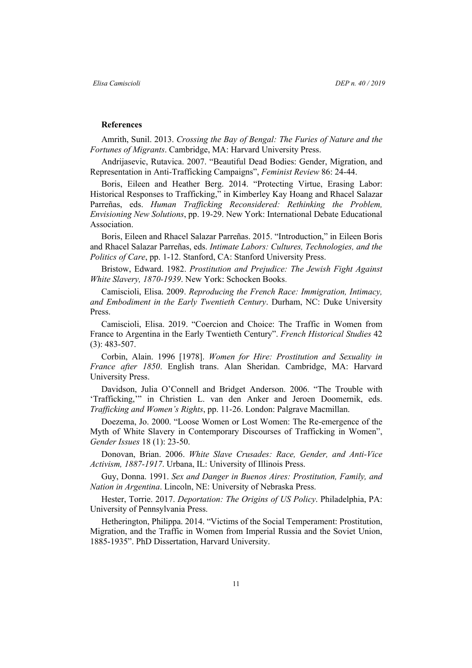### **References**

Amrith, Sunil. 2013. *Crossing the Bay of Bengal: The Furies of Nature and the Fortunes of Migrants*. Cambridge, MA: Harvard University Press.

Andrijasevic, Rutavica. 2007. "Beautiful Dead Bodies: Gender, Migration, and Representation in Anti-Trafficking Campaigns", *Feminist Review* 86: 24-44.

Boris, Eileen and Heather Berg. 2014. "Protecting Virtue, Erasing Labor: Historical Responses to Trafficking," in Kimberley Kay Hoang and Rhacel Salazar Parreñas, eds. *Human Trafficking Reconsidered: Rethinking the Problem, Envisioning New Solutions*, pp. 19-29. New York: International Debate Educational Association.

Boris, Eileen and Rhacel Salazar Parreñas. 2015. "Introduction," in Eileen Boris and Rhacel Salazar Parreñas, eds. *Intimate Labors: Cultures, Technologies, and the Politics of Care*, pp. 1-12. Stanford, CA: Stanford University Press.

Bristow, Edward. 1982. *Prostitution and Prejudice: The Jewish Fight Against White Slavery, 1870-1939*. New York: Schocken Books.

Camiscioli, Elisa. 2009. *Reproducing the French Race: Immigration, Intimacy, and Embodiment in the Early Twentieth Century*. Durham, NC: Duke University Press.

Camiscioli, Elisa. 2019. "Coercion and Choice: The Traffic in Women from France to Argentina in the Early Twentieth Century". *French Historical Studies* 42 (3): 483-507.

Corbin, Alain. 1996 [1978]. *Women for Hire: Prostitution and Sexuality in France after 1850*. English trans. Alan Sheridan. Cambridge, MA: Harvard University Press.

Davidson, Julia O'Connell and Bridget Anderson. 2006. "The Trouble with 'Trafficking,'" in Christien L. van den Anker and Jeroen Doomernik, eds. *Trafficking and Women's Rights*, pp. 11-26. London: Palgrave Macmillan.

Doezema, Jo. 2000. "Loose Women or Lost Women: The Re-emergence of the Myth of White Slavery in Contemporary Discourses of Trafficking in Women", *Gender Issues* 18 (1): 23-50.

Donovan, Brian. 2006. *White Slave Crusades: Race, Gender, and Anti-Vice Activism, 1887-1917*. Urbana, IL: University of Illinois Press.

Guy, Donna. 1991. *Sex and Danger in Buenos Aires: Prostitution, Family, and Nation in Argentina*. Lincoln, NE: University of Nebraska Press.

Hester, Torrie. 2017. *Deportation: The Origins of US Policy*. Philadelphia, PA: University of Pennsylvania Press.

Hetherington, Philippa. 2014. "Victims of the Social Temperament: Prostitution, Migration, and the Traffic in Women from Imperial Russia and the Soviet Union, 1885-1935". PhD Dissertation, Harvard University.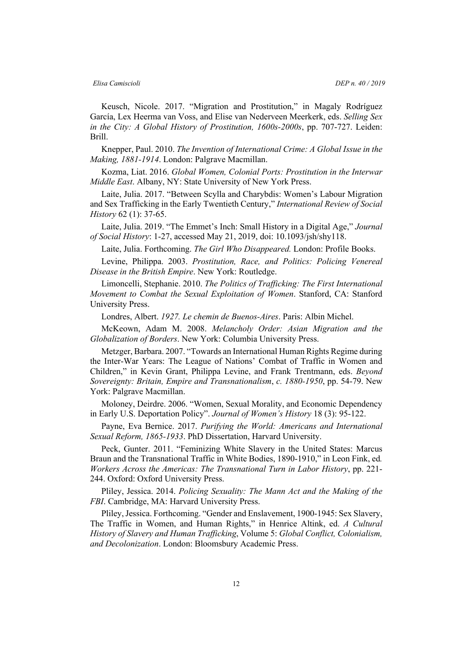Keusch, Nicole. 2017. "Migration and Prostitution," in Magaly Rodríguez García, Lex Heerma van Voss, and Elise van Nederveen Meerkerk, eds. *Selling Sex in the City: A Global History of Prostitution, 1600s-2000s*, pp. 707-727. Leiden: Brill.

Knepper, Paul. 2010. *The Invention of International Crime: A Global Issue in the Making, 1881-1914*. London: Palgrave Macmillan.

Kozma, Liat. 2016. *Global Women, Colonial Ports: Prostitution in the Interwar Middle East*. Albany, NY: State University of New York Press.

Laite, Julia. 2017. "Between Scylla and Charybdis: Women's Labour Migration and Sex Trafficking in the Early Twentieth Century," *International Review of Social History* 62 (1): 37-65.

Laite, Julia. 2019. "The Emmet's Inch: Small History in a Digital Age," *Journal of Social History*: 1-27, accessed May 21, 2019, doi: 10.1093/jsh/shy118.

Laite, Julia. Forthcoming. *The Girl Who Disappeared.* London: Profile Books.

Levine, Philippa. 2003. *Prostitution, Race, and Politics: Policing Venereal Disease in the British Empire*. New York: Routledge.

Limoncelli, Stephanie. 2010. *The Politics of Trafficking: The First International Movement to Combat the Sexual Exploitation of Women*. Stanford, CA: Stanford University Press.

Londres, Albert. *1927. Le chemin de Buenos-Aires*. Paris: Albin Michel.

McKeown, Adam M. 2008. *Melancholy Order: Asian Migration and the Globalization of Borders*. New York: Columbia University Press.

Metzger, Barbara. 2007. "Towards an International Human Rights Regime during the Inter-War Years: The League of Nations' Combat of Traffic in Women and Children," in Kevin Grant, Philippa Levine, and Frank Trentmann, eds. *Beyond Sovereignty: Britain, Empire and Transnationalism*, *c. 1880-1950*, pp. 54-79. New York: Palgrave Macmillan.

Moloney, Deirdre. 2006. "Women, Sexual Morality, and Economic Dependency in Early U.S. Deportation Policy". *Journal of Women's History* 18 (3): 95-122.

Payne, Eva Bernice. 2017. *Purifying the World: Americans and International Sexual Reform, 1865-1933*. PhD Dissertation, Harvard University.

Peck, Gunter. 2011. "Feminizing White Slavery in the United States: Marcus Braun and the Transnational Traffic in White Bodies, 1890-1910," in Leon Fink, ed*. Workers Across the Americas: The Transnational Turn in Labor History*, pp. 221- 244. Oxford: Oxford University Press.

Pliley, Jessica. 2014. *Policing Sexuality: The Mann Act and the Making of the FBI*. Cambridge, MA: Harvard University Press.

Pliley, Jessica. Forthcoming. "Gender and Enslavement, 1900-1945: Sex Slavery, The Traffic in Women, and Human Rights," in Henrice Altink, ed. *A Cultural History of Slavery and Human Trafficking*, Volume 5: *Global Conflict, Colonialism, and Decolonization*. London: Bloomsbury Academic Press.